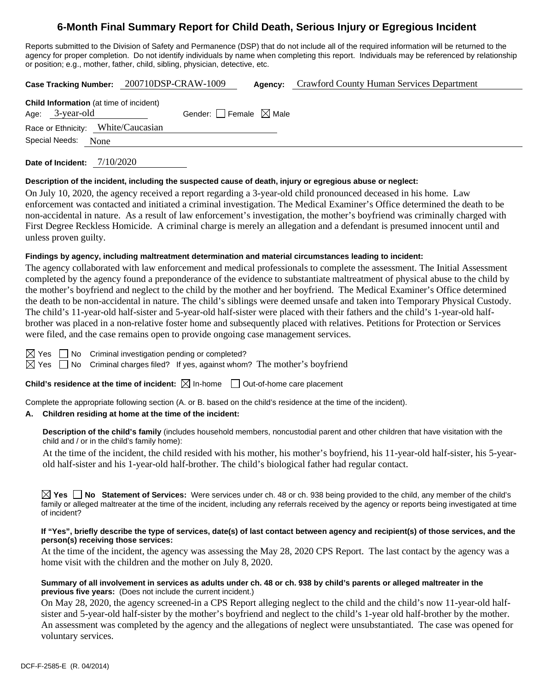# **6-Month Final Summary Report for Child Death, Serious Injury or Egregious Incident**

Reports submitted to the Division of Safety and Permanence (DSP) that do not include all of the required information will be returned to the agency for proper completion. Do not identify individuals by name when completing this report. Individuals may be referenced by relationship or position; e.g., mother, father, child, sibling, physician, detective, etc.

|                                                                   | Case Tracking Number: 200710DSP-CRAW-1009 | <b>Agency:</b> Crawford County Human Services Department |
|-------------------------------------------------------------------|-------------------------------------------|----------------------------------------------------------|
| <b>Child Information</b> (at time of incident)<br>Age: 3-year-old | Gender: Female $\boxtimes$ Male           |                                                          |
| Race or Ethnicity: White/Caucasian                                |                                           |                                                          |
| Special Needs: None                                               |                                           |                                                          |
|                                                                   |                                           |                                                          |

**Date of Incident:** 7/10/2020

### **Description of the incident, including the suspected cause of death, injury or egregious abuse or neglect:**

On July 10, 2020, the agency received a report regarding a 3-year-old child pronounced deceased in his home. Law enforcement was contacted and initiated a criminal investigation. The Medical Examiner's Office determined the death to be non-accidental in nature. As a result of law enforcement's investigation, the mother's boyfriend was criminally charged with First Degree Reckless Homicide. A criminal charge is merely an allegation and a defendant is presumed innocent until and unless proven guilty.

# **Findings by agency, including maltreatment determination and material circumstances leading to incident:**

The agency collaborated with law enforcement and medical professionals to complete the assessment. The Initial Assessment completed by the agency found a preponderance of the evidence to substantiate maltreatment of physical abuse to the child by the mother's boyfriend and neglect to the child by the mother and her boyfriend. The Medical Examiner's Office determined the death to be non-accidental in nature. The child's siblings were deemed unsafe and taken into Temporary Physical Custody. The child's 11-year-old half-sister and 5-year-old half-sister were placed with their fathers and the child's 1-year-old halfbrother was placed in a non-relative foster home and subsequently placed with relatives. Petitions for Protection or Services were filed, and the case remains open to provide ongoing case management services.

 $\boxtimes$  Yes  $\Box$  No Criminal investigation pending or completed?

 $\boxtimes$  Yes  $\Box$  No Criminal charges filed? If yes, against whom? The mother's boyfriend

**Child's residence at the time of incident:**  $\boxtimes$  In-home  $\Box$  Out-of-home care placement

Complete the appropriate following section (A. or B. based on the child's residence at the time of the incident).

# **A. Children residing at home at the time of the incident:**

**Description of the child's family** (includes household members, noncustodial parent and other children that have visitation with the child and / or in the child's family home):

At the time of the incident, the child resided with his mother, his mother's boyfriend, his 11-year-old half-sister, his 5-yearold half-sister and his 1-year-old half-brother. The child's biological father had regular contact.

**Yes No Statement of Services:** Were services under ch. 48 or ch. 938 being provided to the child, any member of the child's family or alleged maltreater at the time of the incident, including any referrals received by the agency or reports being investigated at time of incident?

### **If "Yes", briefly describe the type of services, date(s) of last contact between agency and recipient(s) of those services, and the person(s) receiving those services:**

At the time of the incident, the agency was assessing the May 28, 2020 CPS Report. The last contact by the agency was a home visit with the children and the mother on July 8, 2020.

# **Summary of all involvement in services as adults under ch. 48 or ch. 938 by child's parents or alleged maltreater in the previous five years:** (Does not include the current incident.)

On May 28, 2020, the agency screened-in a CPS Report alleging neglect to the child and the child's now 11-year-old halfsister and 5-year-old half-sister by the mother's boyfriend and neglect to the child's 1-year old half-brother by the mother. An assessment was completed by the agency and the allegations of neglect were unsubstantiated. The case was opened for voluntary services.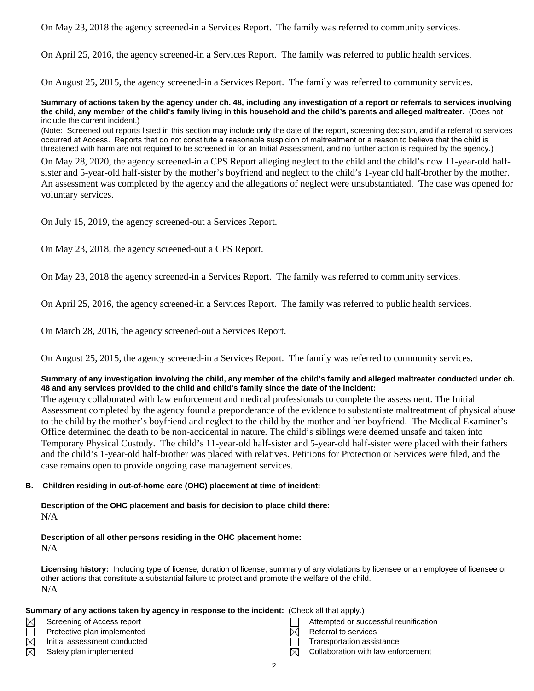On May 23, 2018 the agency screened-in a Services Report. The family was referred to community services.

On April 25, 2016, the agency screened-in a Services Report. The family was referred to public health services.

On August 25, 2015, the agency screened-in a Services Report. The family was referred to community services.

#### **Summary of actions taken by the agency under ch. 48, including any investigation of a report or referrals to services involving the child, any member of the child's family living in this household and the child's parents and alleged maltreater.** (Does not include the current incident.)

(Note: Screened out reports listed in this section may include only the date of the report, screening decision, and if a referral to services occurred at Access. Reports that do not constitute a reasonable suspicion of maltreatment or a reason to believe that the child is threatened with harm are not required to be screened in for an Initial Assessment, and no further action is required by the agency.)

On May 28, 2020, the agency screened-in a CPS Report alleging neglect to the child and the child's now 11-year-old halfsister and 5-year-old half-sister by the mother's boyfriend and neglect to the child's 1-year old half-brother by the mother. An assessment was completed by the agency and the allegations of neglect were unsubstantiated. The case was opened for voluntary services.

On July 15, 2019, the agency screened-out a Services Report.

On May 23, 2018, the agency screened-out a CPS Report.

On May 23, 2018 the agency screened-in a Services Report. The family was referred to community services.

On April 25, 2016, the agency screened-in a Services Report. The family was referred to public health services.

On March 28, 2016, the agency screened-out a Services Report.

On August 25, 2015, the agency screened-in a Services Report. The family was referred to community services.

# **Summary of any investigation involving the child, any member of the child's family and alleged maltreater conducted under ch. 48 and any services provided to the child and child's family since the date of the incident:**

The agency collaborated with law enforcement and medical professionals to complete the assessment. The Initial Assessment completed by the agency found a preponderance of the evidence to substantiate maltreatment of physical abuse to the child by the mother's boyfriend and neglect to the child by the mother and her boyfriend. The Medical Examiner's Office determined the death to be non-accidental in nature. The child's siblings were deemed unsafe and taken into Temporary Physical Custody. The child's 11-year-old half-sister and 5-year-old half-sister were placed with their fathers and the child's 1-year-old half-brother was placed with relatives. Petitions for Protection or Services were filed, and the case remains open to provide ongoing case management services.

# **B. Children residing in out-of-home care (OHC) placement at time of incident:**

# **Description of the OHC placement and basis for decision to place child there:** N/A

#### **Description of all other persons residing in the OHC placement home:**  $N/A$

**Licensing history:** Including type of license, duration of license, summary of any violations by licensee or an employee of licensee or other actions that constitute a substantial failure to protect and promote the welfare of the child. N/A

### **Summary of any actions taken by agency in response to the incident:** (Check all that apply.)

- ⊠ Screening of Access report Attempted or successful reunification
	- Protective plan implemented  $\boxtimes$  Referral to services
	- Initial assessment conducted **Transportation assistance** Transportation assistance

# Safety plan implemented  $\boxtimes$  Collaboration with law enforcement

- 
- 
- 
- 
- 2